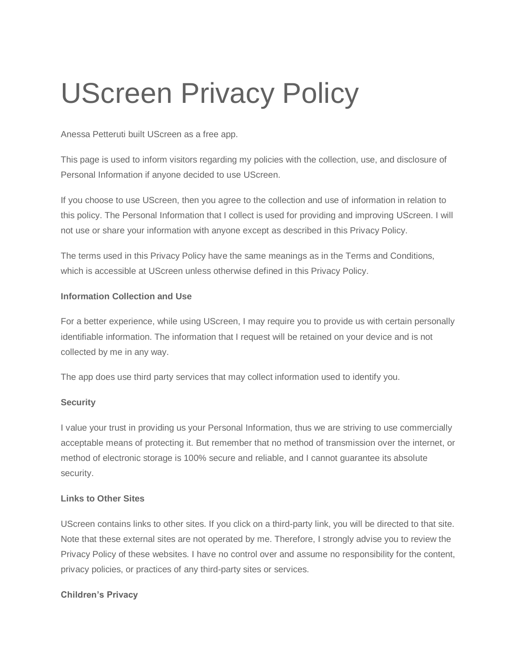# UScreen Privacy Policy

Anessa Petteruti built UScreen as a free app.

This page is used to inform visitors regarding my policies with the collection, use, and disclosure of Personal Information if anyone decided to use UScreen.

If you choose to use UScreen, then you agree to the collection and use of information in relation to this policy. The Personal Information that I collect is used for providing and improving UScreen. I will not use or share your information with anyone except as described in this Privacy Policy.

The terms used in this Privacy Policy have the same meanings as in the Terms and Conditions, which is accessible at UScreen unless otherwise defined in this Privacy Policy.

#### **Information Collection and Use**

For a better experience, while using UScreen, I may require you to provide us with certain personally identifiable information. The information that I request will be retained on your device and is not collected by me in any way.

The app does use third party services that may collect information used to identify you.

## **Security**

I value your trust in providing us your Personal Information, thus we are striving to use commercially acceptable means of protecting it. But remember that no method of transmission over the internet, or method of electronic storage is 100% secure and reliable, and I cannot guarantee its absolute security.

## **Links to Other Sites**

UScreen contains links to other sites. If you click on a third-party link, you will be directed to that site. Note that these external sites are not operated by me. Therefore, I strongly advise you to review the Privacy Policy of these websites. I have no control over and assume no responsibility for the content, privacy policies, or practices of any third-party sites or services.

#### **Children's Privacy**